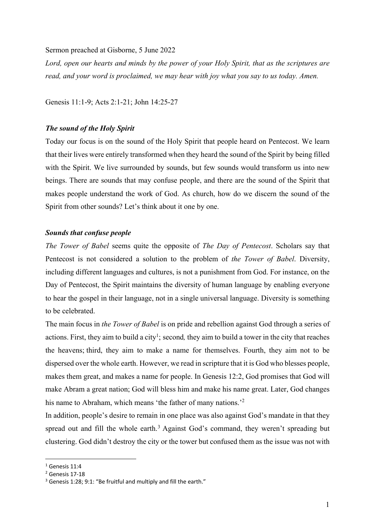#### Sermon preached at Gisborne, 5 June 2022

*Lord, open our hearts and minds by the power of your Holy Spirit, that as the scriptures are read, and your word is proclaimed, we may hear with joy what you say to us today. Amen.*

Genesis 11:1-9; Acts 2:1-21; John 14:25-27

# *The sound of the Holy Spirit*

Today our focus is on the sound of the Holy Spirit that people heard on Pentecost. We learn that their lives were entirely transformed when they heard the sound of the Spirit by being filled with the Spirit. We live surrounded by sounds, but few sounds would transform us into new beings. There are sounds that may confuse people, and there are the sound of the Spirit that makes people understand the work of God. As church, how do we discern the sound of the Spirit from other sounds? Let's think about it one by one.

### *Sounds that confuse people*

*The Tower of Babel* seems quite the opposite of *The Day of Pentecost*. Scholars say that Pentecost is not considered a solution to the problem of *the Tower of Babel*. Diversity, including different languages and cultures, is not a punishment from God. For instance, on the Day of Pentecost, the Spirit maintains the diversity of human language by enabling everyone to hear the gospel in their language, not in a single universal language. Diversity is something to be celebrated.

The main focus in *the Tower of Babel* is on pride and rebellion against God through a series of actions. First, they aim to build a city<sup>1</sup>; second, they aim to build a tower in the city that reaches the heavens; third, they aim to make a name for themselves. Fourth, they aim not to be dispersed over the whole earth. However, we read in scripture that it is God who blesses people, makes them great, and makes a name for people. In Genesis 12:2, God promises that God will make Abram a great nation; God will bless him and make his name great. Later, God changes his name to Abraham, which means 'the father of many nations.'<sup>2</sup>

In addition, people's desire to remain in one place was also against God's mandate in that they spread out and fill the whole earth.<sup>3</sup> Against God's command, they weren't spreading but clustering. God didn't destroy the city or the tower but confused them as the issue was not with

 $1$  Genesis 11:4

<sup>2</sup> Genesis 17-18

 $3$  Genesis 1:28; 9:1: "Be fruitful and multiply and fill the earth."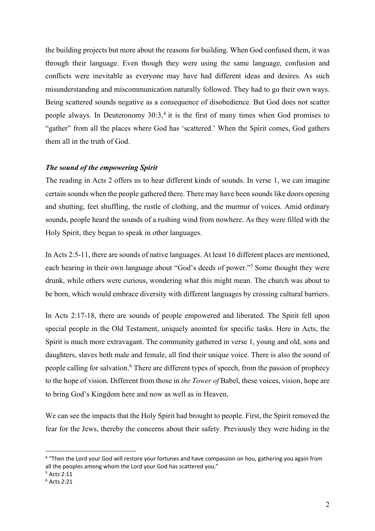the building projects but more about the reasons for building. When God confused them, it was through their language. Even though they were using the same language, confusion and conflicts were inevitable as everyone may have had different ideas and desires. As such misunderstanding and miscommunication naturally followed. They had to go their own ways. Being scattered sounds negative as a consequence of disobedience. But God does not scatter people always. In Deuteronomy 30:3,<sup>4</sup> it is the first of many times when God promises to "gather" from all the places where God has 'scattered.' When the Spirit comes, God gathers them all in the truth of God.

## *The sound of the empowering Spirit*

The reading in Acts 2 offers us to hear different kinds of sounds. In verse 1, we can imagine certain sounds when the people gathered there. There may have been sounds like doors opening and shutting, feet shuffling, the rustle of clothing, and the murmur of voices. Amid ordinary sounds, people heard the sounds of a rushing wind from nowhere. As they were filled with the Holy Spirit, they began to speak in other languages.

In Acts 2:5-11, there are sounds of native languages. At least 16 different places are mentioned, each hearing in their own language about "God's deeds of power."5 Some thought they were drunk, while others were curious, wondering what this might mean. The church was about to be born, which would embrace diversity with different languages by crossing cultural barriers.

In Acts 2:17-18, there are sounds of people empowered and liberated. The Spirit fell upon special people in the Old Testament, uniquely anointed for specific tasks. Here in Acts, the Spirit is much more extravagant. The community gathered in verse 1, young and old, sons and daughters, slaves both male and female, all find their unique voice. There is also the sound of people calling for salvation.<sup>6</sup> There are different types of speech, from the passion of prophecy to the hope of vision. Different from those in *the Tower of* Babel, these voices, vision, hope are to bring God's Kingdom here and now as well as in Heaven.

We can see the impacts that the Holy Spirit had brought to people. First, the Spirit removed the fear for the Jews, thereby the concerns about their safety. Previously they were hiding in the

<sup>&</sup>lt;sup>4</sup> "Then the Lord your God will restore your fortunes and have compassion on hou, gathering you again from all the peoples among whom the Lord your God has scattered you."

<sup>5</sup> Acts 2:11

<sup>6</sup> Acts 2:21